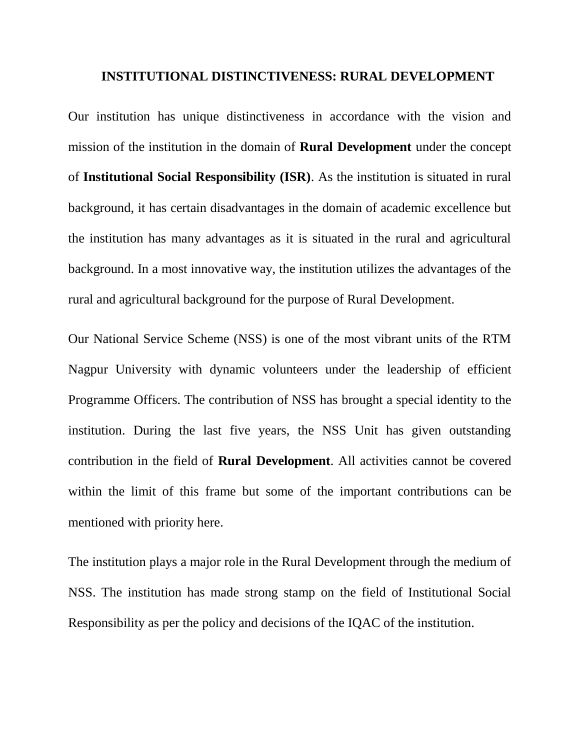## **INSTITUTIONAL DISTINCTIVENESS: RURAL DEVELOPMENT**

Our institution has unique distinctiveness in accordance with the vision and mission of the institution in the domain of **Rural Development** under the concept of **Institutional Social Responsibility (ISR)**. As the institution is situated in rural background, it has certain disadvantages in the domain of academic excellence but the institution has many advantages as it is situated in the rural and agricultural background. In a most innovative way, the institution utilizes the advantages of the rural and agricultural background for the purpose of Rural Development.

Our National Service Scheme (NSS) is one of the most vibrant units of the RTM Nagpur University with dynamic volunteers under the leadership of efficient Programme Officers. The contribution of NSS has brought a special identity to the institution. During the last five years, the NSS Unit has given outstanding contribution in the field of **Rural Development**. All activities cannot be covered within the limit of this frame but some of the important contributions can be mentioned with priority here.

The institution plays a major role in the Rural Development through the medium of NSS. The institution has made strong stamp on the field of Institutional Social Responsibility as per the policy and decisions of the IQAC of the institution.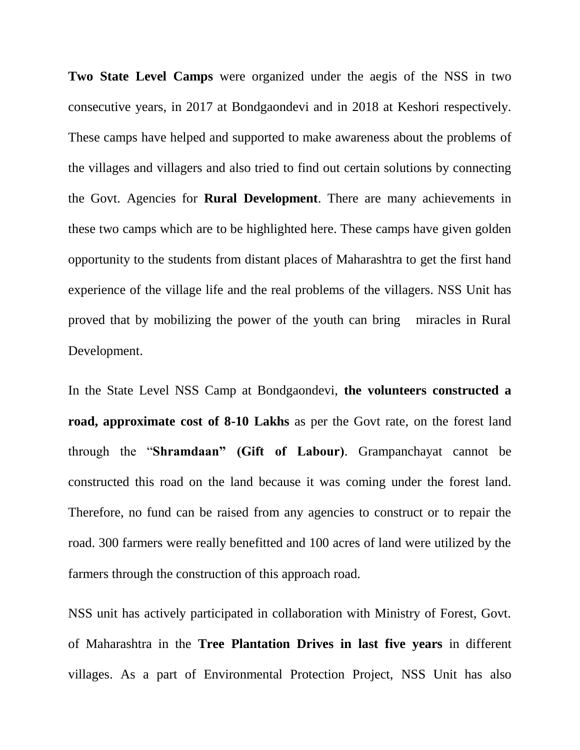**Two State Level Camps** were organized under the aegis of the NSS in two consecutive years, in 2017 at Bondgaondevi and in 2018 at Keshori respectively. These camps have helped and supported to make awareness about the problems of the villages and villagers and also tried to find out certain solutions by connecting the Govt. Agencies for **Rural Development**. There are many achievements in these two camps which are to be highlighted here. These camps have given golden opportunity to the students from distant places of Maharashtra to get the first hand experience of the village life and the real problems of the villagers. NSS Unit has proved that by mobilizing the power of the youth can bring miracles in Rural Development.

In the State Level NSS Camp at Bondgaondevi, **the volunteers constructed a road, approximate cost of 8-10 Lakhs** as per the Govt rate, on the forest land through the "**Shramdaan" (Gift of Labour)**. Grampanchayat cannot be constructed this road on the land because it was coming under the forest land. Therefore, no fund can be raised from any agencies to construct or to repair the road. 300 farmers were really benefitted and 100 acres of land were utilized by the farmers through the construction of this approach road.

NSS unit has actively participated in collaboration with Ministry of Forest, Govt. of Maharashtra in the **Tree Plantation Drives in last five years** in different villages. As a part of Environmental Protection Project, NSS Unit has also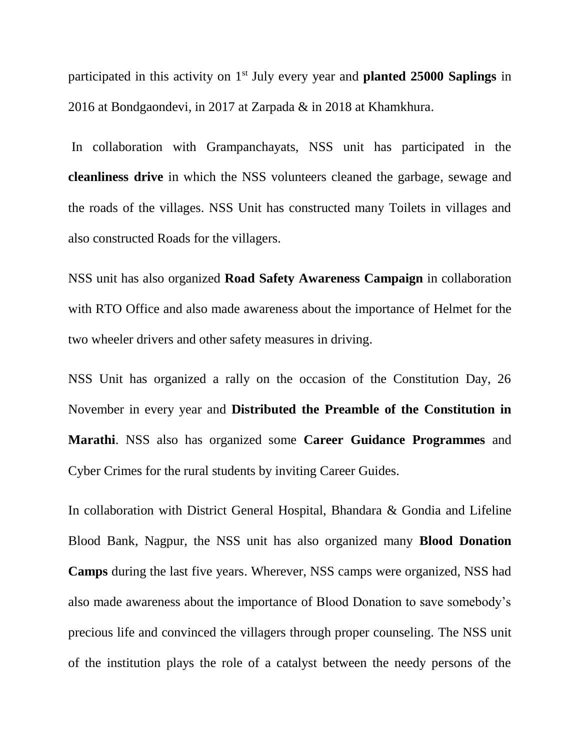participated in this activity on 1st July every year and **planted 25000 Saplings** in 2016 at Bondgaondevi, in 2017 at Zarpada & in 2018 at Khamkhura.

In collaboration with Grampanchayats, NSS unit has participated in the **cleanliness drive** in which the NSS volunteers cleaned the garbage, sewage and the roads of the villages. NSS Unit has constructed many Toilets in villages and also constructed Roads for the villagers.

NSS unit has also organized **Road Safety Awareness Campaign** in collaboration with RTO Office and also made awareness about the importance of Helmet for the two wheeler drivers and other safety measures in driving.

NSS Unit has organized a rally on the occasion of the Constitution Day, 26 November in every year and **Distributed the Preamble of the Constitution in Marathi**. NSS also has organized some **Career Guidance Programmes** and Cyber Crimes for the rural students by inviting Career Guides.

In collaboration with District General Hospital, Bhandara & Gondia and Lifeline Blood Bank, Nagpur, the NSS unit has also organized many **Blood Donation Camps** during the last five years. Wherever, NSS camps were organized, NSS had also made awareness about the importance of Blood Donation to save somebody's precious life and convinced the villagers through proper counseling. The NSS unit of the institution plays the role of a catalyst between the needy persons of the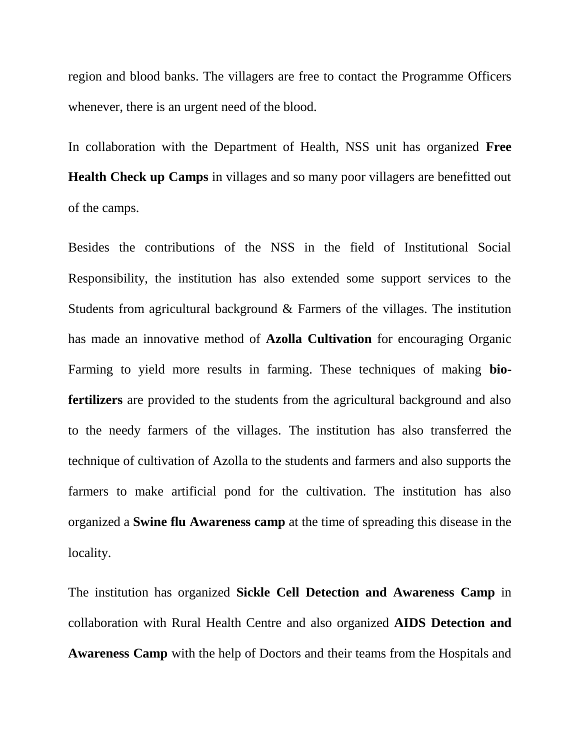region and blood banks. The villagers are free to contact the Programme Officers whenever, there is an urgent need of the blood.

In collaboration with the Department of Health, NSS unit has organized **Free Health Check up Camps** in villages and so many poor villagers are benefitted out of the camps.

Besides the contributions of the NSS in the field of Institutional Social Responsibility, the institution has also extended some support services to the Students from agricultural background & Farmers of the villages. The institution has made an innovative method of **Azolla Cultivation** for encouraging Organic Farming to yield more results in farming. These techniques of making **biofertilizers** are provided to the students from the agricultural background and also to the needy farmers of the villages. The institution has also transferred the technique of cultivation of Azolla to the students and farmers and also supports the farmers to make artificial pond for the cultivation. The institution has also organized a **Swine flu Awareness camp** at the time of spreading this disease in the locality.

The institution has organized **Sickle Cell Detection and Awareness Camp** in collaboration with Rural Health Centre and also organized **AIDS Detection and Awareness Camp** with the help of Doctors and their teams from the Hospitals and